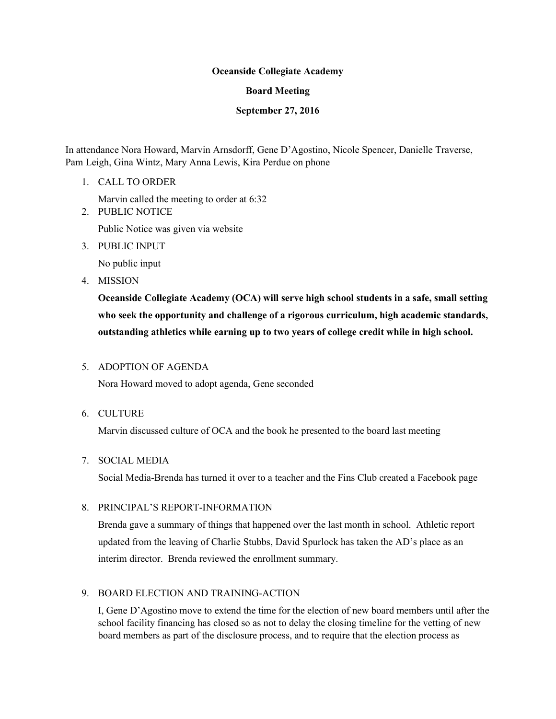### Oceanside Collegiate Academy

### Board Meeting

### September 27, 2016

In attendance Nora Howard, Marvin Arnsdorff, Gene D'Agostino, Nicole Spencer, Danielle Traverse, Pam Leigh, Gina Wintz, Mary Anna Lewis, Kira Perdue on phone

1. CALL TO ORDER

Marvin called the meeting to order at 6:32

2. PUBLIC NOTICE

Public Notice was given via website

3. PUBLIC INPUT

No public input

4. MISSION

Oceanside Collegiate Academy (OCA) will serve high school students in a safe, small setting who seek the opportunity and challenge of a rigorous curriculum, high academic standards, outstanding athletics while earning up to two years of college credit while in high school.

# 5. ADOPTION OF AGENDA

Nora Howard moved to adopt agenda, Gene seconded

6. CULTURE

Marvin discussed culture of OCA and the book he presented to the board last meeting

7. SOCIAL MEDIA

Social Media-Brenda has turned it over to a teacher and the Fins Club created a Facebook page

# 8. PRINCIPAL'S REPORT-INFORMATION

Brenda gave a summary of things that happened over the last month in school. Athletic report updated from the leaving of Charlie Stubbs, David Spurlock has taken the AD's place as an interim director. Brenda reviewed the enrollment summary.

# 9. BOARD ELECTION AND TRAINING-ACTION

I, Gene D'Agostino move to extend the time for the election of new board members until after the school facility financing has closed so as not to delay the closing timeline for the vetting of new board members as part of the disclosure process, and to require that the election process as